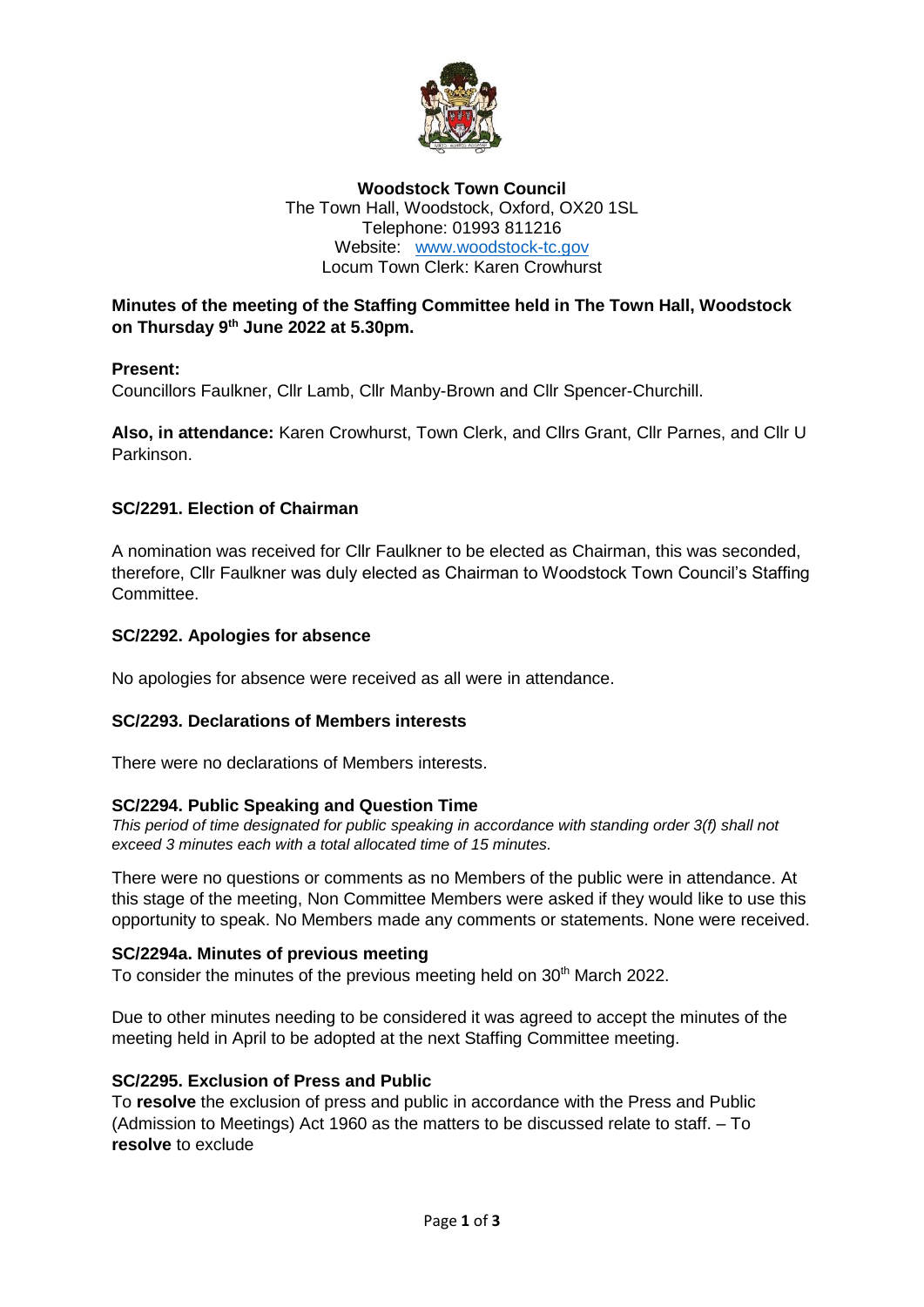

## **Woodstock Town Council** The Town Hall, Woodstock, Oxford, OX20 1SL Telephone: 01993 811216 Website: [www.woodstock-tc.gov](http://www.woodstock-tc.gov/) Locum Town Clerk: Karen Crowhurst

## **Minutes of the meeting of the Staffing Committee held in The Town Hall, Woodstock on Thursday 9 th June 2022 at 5.30pm.**

## **Present:**

Councillors Faulkner, Cllr Lamb, Cllr Manby-Brown and Cllr Spencer-Churchill.

**Also, in attendance:** Karen Crowhurst, Town Clerk, and Cllrs Grant, Cllr Parnes, and Cllr U Parkinson.

## **SC/2291. Election of Chairman**

A nomination was received for Cllr Faulkner to be elected as Chairman, this was seconded, therefore, Cllr Faulkner was duly elected as Chairman to Woodstock Town Council's Staffing **Committee.** 

#### **SC/2292. Apologies for absence**

No apologies for absence were received as all were in attendance.

#### **SC/2293. Declarations of Members interests**

There were no declarations of Members interests.

#### **SC/2294. Public Speaking and Question Time**

*This period of time designated for public speaking in accordance with standing order 3(f) shall not exceed 3 minutes each with a total allocated time of 15 minutes.* 

There were no questions or comments as no Members of the public were in attendance. At this stage of the meeting, Non Committee Members were asked if they would like to use this opportunity to speak. No Members made any comments or statements. None were received.

#### **SC/2294a. Minutes of previous meeting**

To consider the minutes of the previous meeting held on 30<sup>th</sup> March 2022.

Due to other minutes needing to be considered it was agreed to accept the minutes of the meeting held in April to be adopted at the next Staffing Committee meeting.

#### **SC/2295. Exclusion of Press and Public**

To **resolve** the exclusion of press and public in accordance with the Press and Public (Admission to Meetings) Act 1960 as the matters to be discussed relate to staff. – To **resolve** to exclude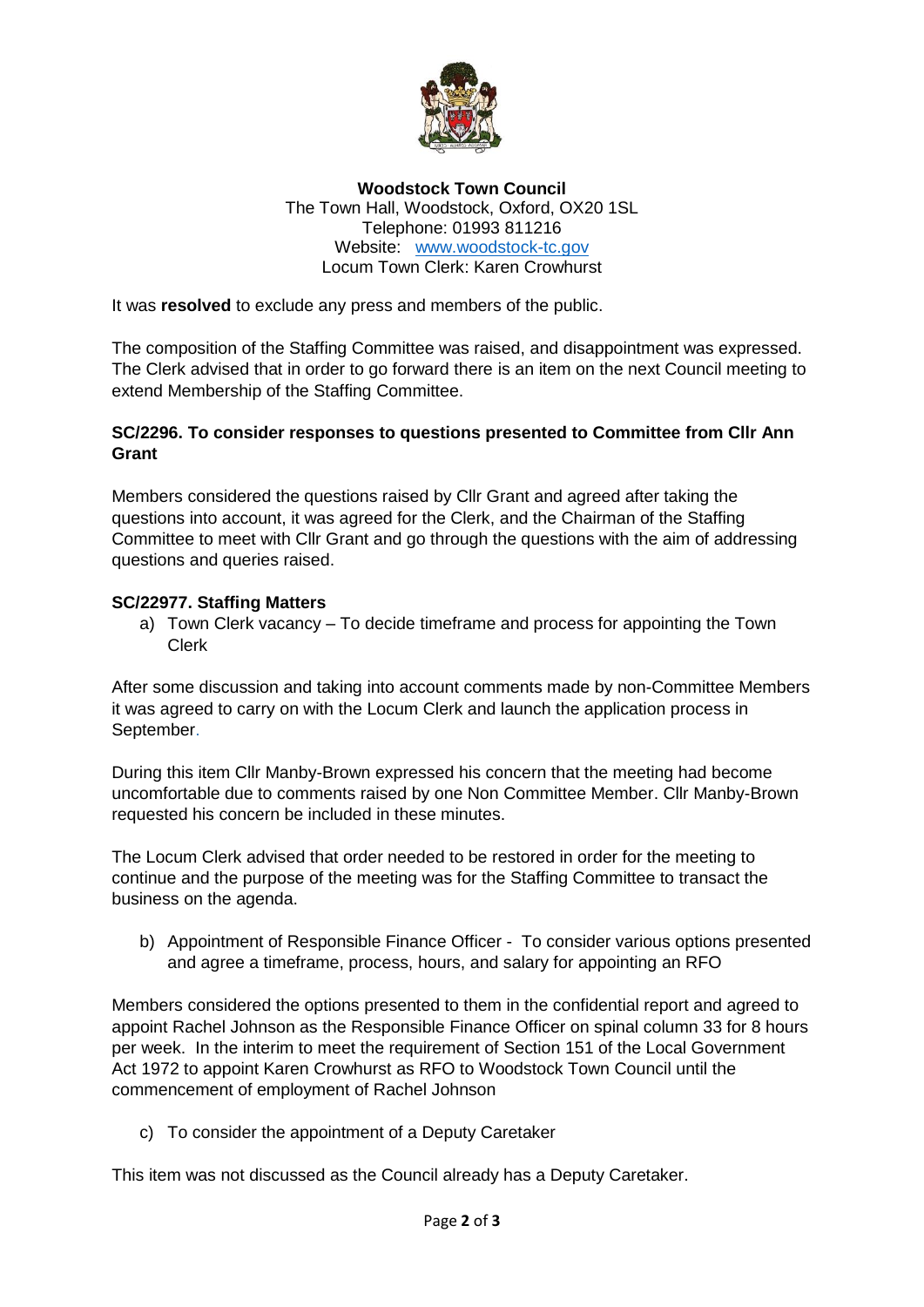

**Woodstock Town Council** The Town Hall, Woodstock, Oxford, OX20 1SL Telephone: 01993 811216 Website: [www.woodstock-tc.gov](http://www.woodstock-tc.gov/) Locum Town Clerk: Karen Crowhurst

It was **resolved** to exclude any press and members of the public.

The composition of the Staffing Committee was raised, and disappointment was expressed. The Clerk advised that in order to go forward there is an item on the next Council meeting to extend Membership of the Staffing Committee.

# **SC/2296. To consider responses to questions presented to Committee from Cllr Ann Grant**

Members considered the questions raised by Cllr Grant and agreed after taking the questions into account, it was agreed for the Clerk, and the Chairman of the Staffing Committee to meet with Cllr Grant and go through the questions with the aim of addressing questions and queries raised.

## **SC/22977. Staffing Matters**

a) Town Clerk vacancy – To decide timeframe and process for appointing the Town Clerk

After some discussion and taking into account comments made by non-Committee Members it was agreed to carry on with the Locum Clerk and launch the application process in September.

During this item Cllr Manby-Brown expressed his concern that the meeting had become uncomfortable due to comments raised by one Non Committee Member. Cllr Manby-Brown requested his concern be included in these minutes.

The Locum Clerk advised that order needed to be restored in order for the meeting to continue and the purpose of the meeting was for the Staffing Committee to transact the business on the agenda.

b) Appointment of Responsible Finance Officer - To consider various options presented and agree a timeframe, process, hours, and salary for appointing an RFO

Members considered the options presented to them in the confidential report and agreed to appoint Rachel Johnson as the Responsible Finance Officer on spinal column 33 for 8 hours per week. In the interim to meet the requirement of Section 151 of the Local Government Act 1972 to appoint Karen Crowhurst as RFO to Woodstock Town Council until the commencement of employment of Rachel Johnson

c) To consider the appointment of a Deputy Caretaker

This item was not discussed as the Council already has a Deputy Caretaker.